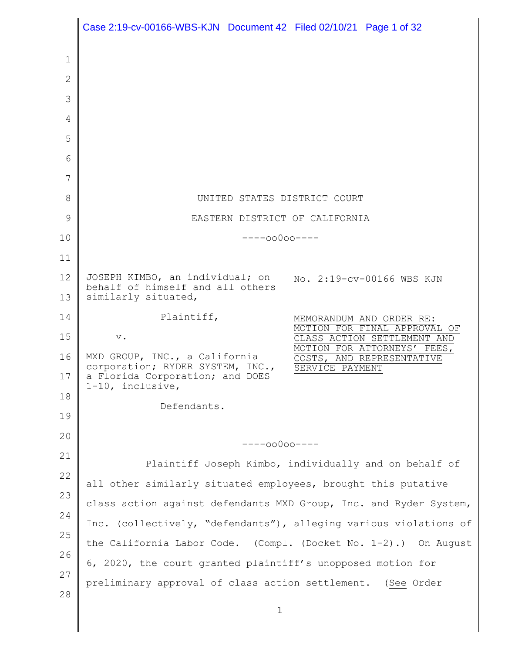|          | Case 2:19-cv-00166-WBS-KJN Document 42 Filed 02/10/21 Page 1 of 32                                                      |
|----------|-------------------------------------------------------------------------------------------------------------------------|
| 1        |                                                                                                                         |
| 2        |                                                                                                                         |
| 3        |                                                                                                                         |
| 4        |                                                                                                                         |
| 5        |                                                                                                                         |
| 6        |                                                                                                                         |
| 7        |                                                                                                                         |
| 8        | UNITED STATES DISTRICT COURT                                                                                            |
| 9        | EASTERN DISTRICT OF CALIFORNIA                                                                                          |
| 10       | $---00000---$                                                                                                           |
| 11       |                                                                                                                         |
| 12<br>13 | JOSEPH KIMBO, an individual; on<br>No. 2:19-cv-00166 WBS KJN<br>behalf of himself and all others<br>similarly situated, |
| 14       | Plaintiff,<br>MEMORANDUM AND ORDER RE:                                                                                  |
| 15       | MOTION FOR FINAL APPROVAL OF<br>$\mathbf v$ .<br>CLASS ACTION SETTLEMENT AND                                            |
| 16       | MOTION FOR ATTORNEYS' FEES,<br>MXD GROUP, INC., a California<br>COSTS, AND REPRESENTATIVE                               |
| 17       | corporation; RYDER SYSTEM, INC.,<br>SERVICE PAYMENT<br>a Florida Corporation; and DOES<br>1-10, inclusive,              |
| 18       | Defendants.                                                                                                             |
| 19<br>20 |                                                                                                                         |
| 21       | $---00000---$                                                                                                           |
| 22       | Plaintiff Joseph Kimbo, individually and on behalf of                                                                   |
| 23       | all other similarly situated employees, brought this putative                                                           |
| 24       | class action against defendants MXD Group, Inc. and Ryder System,                                                       |
| 25       | Inc. (collectively, "defendants"), alleging various violations of                                                       |
| 26       | the California Labor Code. (Compl. (Docket No. 1-2).) On August                                                         |
| 27       | 6, 2020, the court granted plaintiff's unopposed motion for                                                             |
| 28       | preliminary approval of class action settlement. (See Order                                                             |
|          | 1                                                                                                                       |

║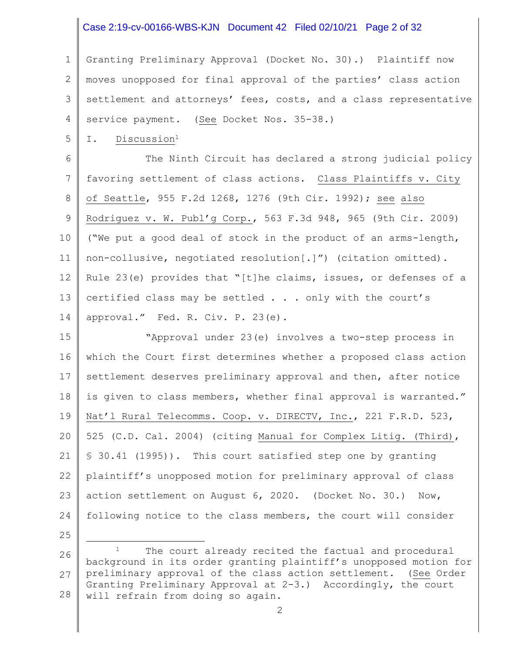#### Case 2:19-cv-00166-WBS-KJN Document 42 Filed 02/10/21 Page 2 of 32

1 2 3 4 Granting Preliminary Approval (Docket No. 30).) Plaintiff now moves unopposed for final approval of the parties' class action settlement and attorneys' fees, costs, and a class representative service payment. (See Docket Nos. 35-38.)

5 I. Discussion<sup>1</sup>

6 7 8 9 10 11 12 13 14 The Ninth Circuit has declared a strong judicial policy favoring settlement of class actions. Class Plaintiffs v. City of Seattle, 955 F.2d 1268, 1276 (9th Cir. 1992); see also Rodriguez v. W. Publ'g Corp., 563 F.3d 948, 965 (9th Cir. 2009) ("We put a good deal of stock in the product of an arms-length, non-collusive, negotiated resolution[.]") (citation omitted). Rule 23(e) provides that "[t]he claims, issues, or defenses of a certified class may be settled . . . only with the court's approval." Fed. R. Civ. P. 23(e).

15 16 17 18 19 20 21 22 23 24 "Approval under 23(e) involves a two-step process in which the Court first determines whether a proposed class action settlement deserves preliminary approval and then, after notice is given to class members, whether final approval is warranted." Nat'l Rural Telecomms. Coop. v. DIRECTV, Inc., 221 F.R.D. 523, 525 (C.D. Cal. 2004) (citing Manual for Complex Litig. (Third), § 30.41 (1995)). This court satisfied step one by granting plaintiff's unopposed motion for preliminary approval of class action settlement on August 6, 2020. (Docket No. 30.) Now, following notice to the class members, the court will consider

- 25
- 26 27 28 The court already recited the factual and procedural background in its order granting plaintiff's unopposed motion for preliminary approval of the class action settlement. (See Order Granting Preliminary Approval at 2-3.) Accordingly, the court will refrain from doing so again.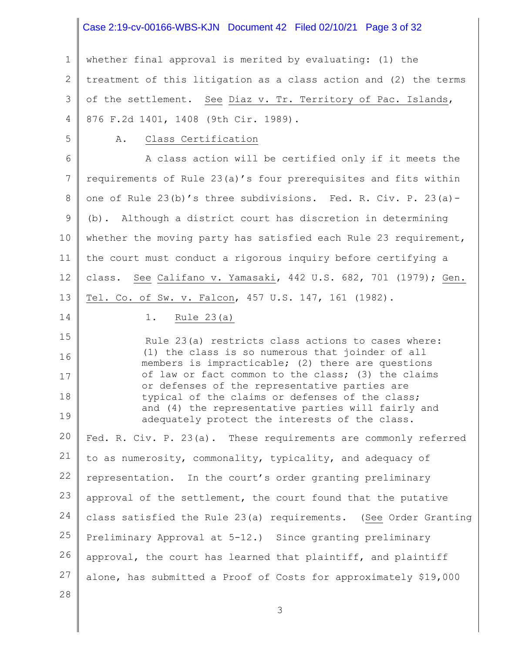## Case 2:19-cv-00166-WBS-KJN Document 42 Filed 02/10/21 Page 3 of 32

1 2 3 4 whether final approval is merited by evaluating: (1) the treatment of this litigation as a class action and (2) the terms of the settlement. See Diaz v. Tr. Territory of Pac. Islands, 876 F.2d 1401, 1408 (9th Cir. 1989).

5

14

#### A. Class Certification

6 7 8 9 10 11 12 13 A class action will be certified only if it meets the requirements of Rule 23(a)'s four prerequisites and fits within one of Rule 23(b)'s three subdivisions. Fed. R. Civ. P. 23(a)- (b). Although a district court has discretion in determining whether the moving party has satisfied each Rule 23 requirement, the court must conduct a rigorous inquiry before certifying a class. See Califano v. Yamasaki, 442 U.S. 682, 701 (1979); Gen. Tel. Co. of Sw. v. Falcon, 457 U.S. 147, 161 (1982).

#### 1. Rule 23(a)

15 16 17 18 19 20 21 22 23 24 25 26 Rule 23(a) restricts class actions to cases where: (1) the class is so numerous that joinder of all members is impracticable; (2) there are questions of law or fact common to the class; (3) the claims or defenses of the representative parties are typical of the claims or defenses of the class; and (4) the representative parties will fairly and adequately protect the interests of the class. Fed. R. Civ. P. 23(a). These requirements are commonly referred to as numerosity, commonality, typicality, and adequacy of representation. In the court's order granting preliminary approval of the settlement, the court found that the putative class satisfied the Rule 23(a) requirements. (See Order Granting Preliminary Approval at 5-12.) Since granting preliminary approval, the court has learned that plaintiff, and plaintiff

27 alone, has submitted a Proof of Costs for approximately \$19,000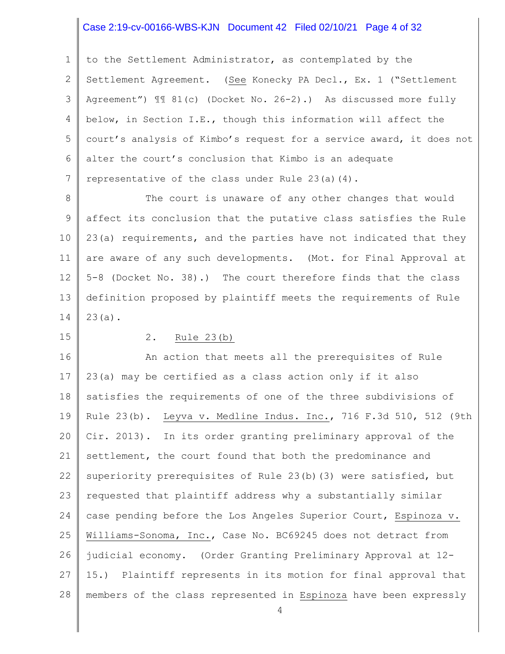## Case 2:19-cv-00166-WBS-KJN Document 42 Filed 02/10/21 Page 4 of 32

1 2 3 4 5 6 7 to the Settlement Administrator, as contemplated by the Settlement Agreement. (See Konecky PA Decl., Ex. 1 ("Settlement Agreement") ¶¶ 81(c) (Docket No. 26-2).) As discussed more fully below, in Section I.E., though this information will affect the court's analysis of Kimbo's request for a service award, it does not alter the court's conclusion that Kimbo is an adequate representative of the class under Rule 23(a)(4).

8 9 10 11 12 13 14 The court is unaware of any other changes that would affect its conclusion that the putative class satisfies the Rule 23(a) requirements, and the parties have not indicated that they are aware of any such developments. (Mot. for Final Approval at 5-8 (Docket No. 38).) The court therefore finds that the class definition proposed by plaintiff meets the requirements of Rule 23(a).

15

### 2. Rule 23(b)

16 17 18 19 20 21 22 23 24 25 26 27 28 An action that meets all the prerequisites of Rule 23(a) may be certified as a class action only if it also satisfies the requirements of one of the three subdivisions of Rule 23(b). Leyva v. Medline Indus. Inc., 716 F.3d 510, 512 (9th Cir. 2013). In its order granting preliminary approval of the settlement, the court found that both the predominance and superiority prerequisites of Rule 23(b)(3) were satisfied, but requested that plaintiff address why a substantially similar case pending before the Los Angeles Superior Court, Espinoza v. Williams-Sonoma, Inc., Case No. BC69245 does not detract from judicial economy. (Order Granting Preliminary Approval at 12- 15.) Plaintiff represents in its motion for final approval that members of the class represented in Espinoza have been expressly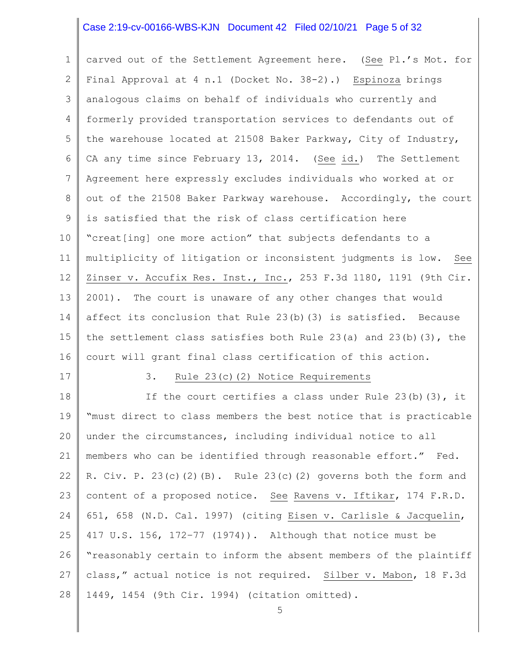### Case 2:19-cv-00166-WBS-KJN Document 42 Filed 02/10/21 Page 5 of 32

1 2 3 4 5 6 7 8 9 10 11 12 13 14 15 16 carved out of the Settlement Agreement here. (See Pl.'s Mot. for Final Approval at 4 n.1 (Docket No. 38-2).) Espinoza brings analogous claims on behalf of individuals who currently and formerly provided transportation services to defendants out of the warehouse located at 21508 Baker Parkway, City of Industry, CA any time since February 13, 2014. (See id.) The Settlement Agreement here expressly excludes individuals who worked at or out of the 21508 Baker Parkway warehouse. Accordingly, the court is satisfied that the risk of class certification here "creat[ing] one more action" that subjects defendants to a multiplicity of litigation or inconsistent judgments is low. See Zinser v. Accufix Res. Inst., Inc., 253 F.3d 1180, 1191 (9th Cir. 2001). The court is unaware of any other changes that would affect its conclusion that Rule 23(b)(3) is satisfied. Because the settlement class satisfies both Rule 23(a) and 23(b)(3), the court will grant final class certification of this action.

17

#### 3. Rule 23(c)(2) Notice Requirements

18 19 20 21 22 23 24 25 26 27 28 If the court certifies a class under Rule  $23(b)(3)$ , it "must direct to class members the best notice that is practicable under the circumstances, including individual notice to all members who can be identified through reasonable effort." Fed. R. Civ. P.  $23(c)(2)(B)$ . Rule  $23(c)(2)$  governs both the form and content of a proposed notice. See Ravens v. Iftikar, 174 F.R.D. 651, 658 (N.D. Cal. 1997) (citing Eisen v. Carlisle & Jacquelin, 417 U.S. 156, 172–77 (1974)). Although that notice must be "reasonably certain to inform the absent members of the plaintiff class," actual notice is not required. Silber v. Mabon, 18 F.3d 1449, 1454 (9th Cir. 1994) (citation omitted).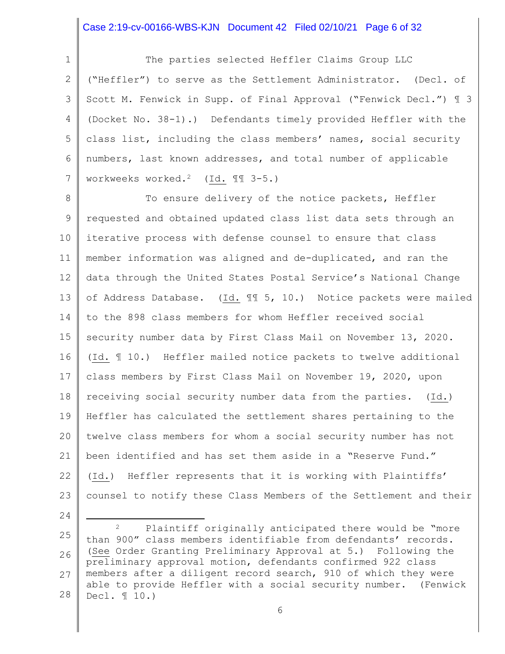### Case 2:19-cv-00166-WBS-KJN Document 42 Filed 02/10/21 Page 6 of 32

1 2 3 4 5 6 7 The parties selected Heffler Claims Group LLC ("Heffler") to serve as the Settlement Administrator. (Decl. of Scott M. Fenwick in Supp. of Final Approval ("Fenwick Decl.") ¶ 3 (Docket No. 38-1).) Defendants timely provided Heffler with the class list, including the class members' names, social security numbers, last known addresses, and total number of applicable workweeks worked.2 (Id. ¶¶ 3-5.)

8 9 10 11 12 13 14 15 16 17 18 19 20 21 22 23 To ensure delivery of the notice packets, Heffler requested and obtained updated class list data sets through an iterative process with defense counsel to ensure that class member information was aligned and de-duplicated, and ran the data through the United States Postal Service's National Change of Address Database. (Id. ¶¶ 5, 10.) Notice packets were mailed to the 898 class members for whom Heffler received social security number data by First Class Mail on November 13, 2020. (Id. ¶ 10.) Heffler mailed notice packets to twelve additional class members by First Class Mail on November 19, 2020, upon receiving social security number data from the parties. (Id.) Heffler has calculated the settlement shares pertaining to the twelve class members for whom a social security number has not been identified and has set them aside in a "Reserve Fund." (Id.) Heffler represents that it is working with Plaintiffs' counsel to notify these Class Members of the Settlement and their

<sup>25</sup> 26 27 28 <sup>2</sup> Plaintiff originally anticipated there would be "more than 900" class members identifiable from defendants' records. (See Order Granting Preliminary Approval at 5.) Following the preliminary approval motion, defendants confirmed 922 class members after a diligent record search, 910 of which they were able to provide Heffler with a social security number. (Fenwick Decl. ¶ 10.)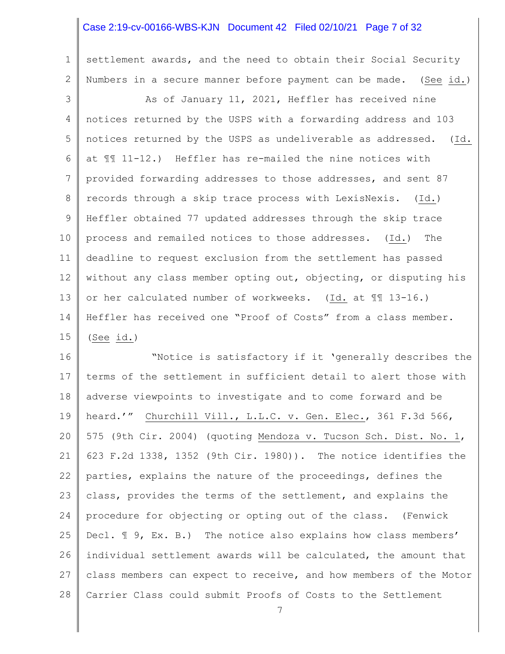### Case 2:19-cv-00166-WBS-KJN Document 42 Filed 02/10/21 Page 7 of 32

1

2

settlement awards, and the need to obtain their Social Security Numbers in a secure manner before payment can be made. (See id.)

3 4 5 6 7 8 9 10 11 12 13 14 15 As of January 11, 2021, Heffler has received nine notices returned by the USPS with a forwarding address and 103 notices returned by the USPS as undeliverable as addressed. (Id. at ¶¶ 11-12.) Heffler has re-mailed the nine notices with provided forwarding addresses to those addresses, and sent 87 records through a skip trace process with LexisNexis. (Id.) Heffler obtained 77 updated addresses through the skip trace process and remailed notices to those addresses. (Id.) The deadline to request exclusion from the settlement has passed without any class member opting out, objecting, or disputing his or her calculated number of workweeks. (Id. at ¶¶ 13-16.) Heffler has received one "Proof of Costs" from a class member. (See id.)

16 17 18 19 20 21 22 23 24 25 26 27 28 "Notice is satisfactory if it 'generally describes the terms of the settlement in sufficient detail to alert those with adverse viewpoints to investigate and to come forward and be heard.'" Churchill Vill., L.L.C. v. Gen. Elec., 361 F.3d 566, 575 (9th Cir. 2004) (quoting Mendoza v. Tucson Sch. Dist. No. 1, 623 F.2d 1338, 1352 (9th Cir. 1980)). The notice identifies the parties, explains the nature of the proceedings, defines the class, provides the terms of the settlement, and explains the procedure for objecting or opting out of the class. (Fenwick Decl.  $\text{\texttt{I}}$  9, Ex. B.) The notice also explains how class members' individual settlement awards will be calculated, the amount that class members can expect to receive, and how members of the Motor Carrier Class could submit Proofs of Costs to the Settlement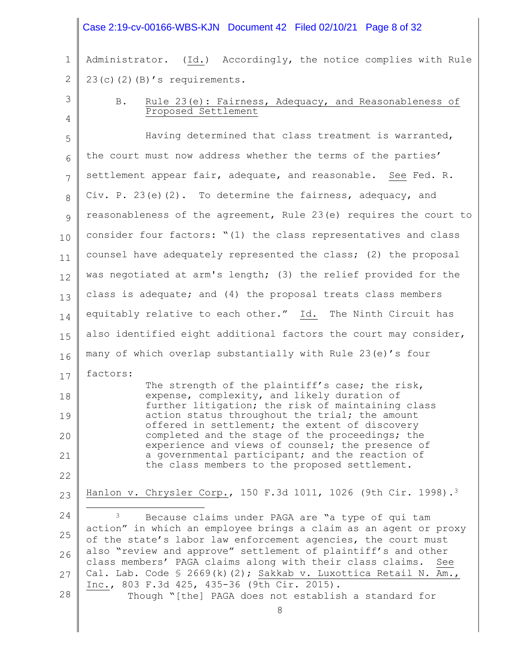#### Case 2:19-cv-00166-WBS-KJN Document 42 Filed 02/10/21 Page 8 of 32

1 2 Administrator. (Id.) Accordingly, the notice complies with Rule  $23(c)(2)(B)'$ s requirements.

## 3

4

## B. Rule 23(e): Fairness, Adequacy, and Reasonableness of Proposed Settlement

5 6 7 8 9 10 11 12 13 14 15 16 17 18 19 20 21 22 23 24 25 26 27 28 Having determined that class treatment is warranted, the court must now address whether the terms of the parties' settlement appear fair, adequate, and reasonable. See Fed. R. Civ. P. 23(e)(2). To determine the fairness, adequacy, and reasonableness of the agreement, Rule 23(e) requires the court to consider four factors: "(1) the class representatives and class counsel have adequately represented the class; (2) the proposal was negotiated at arm's length; (3) the relief provided for the class is adequate; and (4) the proposal treats class members equitably relative to each other." Id. The Ninth Circuit has also identified eight additional factors the court may consider, many of which overlap substantially with Rule 23(e)'s four factors: The strength of the plaintiff's case; the risk, expense, complexity, and likely duration of further litigation; the risk of maintaining class action status throughout the trial; the amount offered in settlement; the extent of discovery completed and the stage of the proceedings; the experience and views of counsel; the presence of a governmental participant; and the reaction of the class members to the proposed settlement. Hanlon v. Chrysler Corp., 150 F.3d 1011, 1026 (9th Cir. 1998).<sup>3</sup> <sup>3</sup> Because claims under PAGA are "a type of qui tam action" in which an employee brings a claim as an agent or proxy of the state's labor law enforcement agencies, the court must also "review and approve" settlement of plaintiff's and other class members' PAGA claims along with their class claims. See Cal. Lab. Code § 2669(k)(2); Sakkab v. Luxottica Retail N. Am., Inc., 803 F.3d 425, 435-36 (9th Cir. 2015). Though "[the] PAGA does not establish a standard for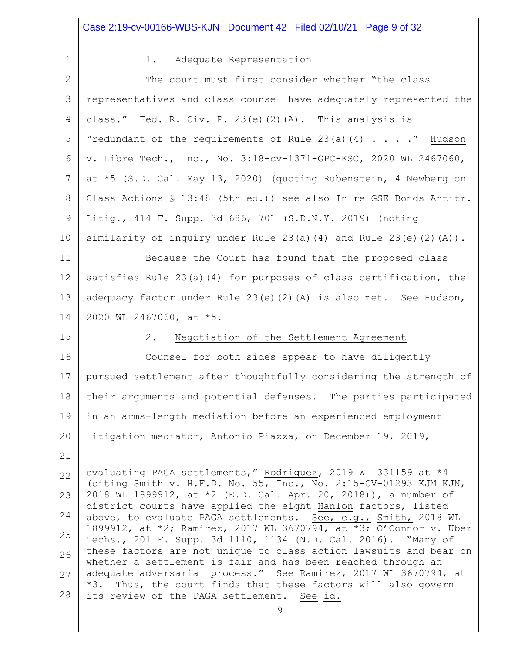|             | Case 2:19-cv-00166-WBS-KJN Document 42 Filed 02/10/21 Page 9 of 32                                                                 |
|-------------|------------------------------------------------------------------------------------------------------------------------------------|
| $\mathbf 1$ | Adequate Representation<br>$1$ .                                                                                                   |
| 2           | The court must first consider whether "the class                                                                                   |
| 3           | representatives and class counsel have adequately represented the                                                                  |
| 4           | class." Fed. R. Civ. P. 23(e)(2)(A). This analysis is                                                                              |
| 5           | "redundant of the requirements of Rule 23(a) $(4)$ " Hudson                                                                        |
| 6           | v. Libre Tech., Inc., No. 3:18-cv-1371-GPC-KSC, 2020 WL 2467060,                                                                   |
| 7           | at *5 (S.D. Cal. May 13, 2020) (quoting Rubenstein, 4 Newberg on                                                                   |
| 8           | Class Actions § 13:48 (5th ed.)) see also In re GSE Bonds Antitr.                                                                  |
| 9           | Litig., 414 F. Supp. 3d 686, 701 (S.D.N.Y. 2019) (noting                                                                           |
| 10          | similarity of inquiry under Rule $23(a)$ (4) and Rule $23(e)$ (2) (A)).                                                            |
| 11          | Because the Court has found that the proposed class                                                                                |
| 12          | satisfies Rule 23(a)(4) for purposes of class certification, the                                                                   |
| 13          | adequacy factor under Rule $23(e)$ $(2)$ $(A)$ is also met. See Hudson,                                                            |
| 14          | 2020 WL 2467060, at *5.                                                                                                            |
| 15          | 2.<br>Negotiation of the Settlement Agreement                                                                                      |
| 16          | Counsel for both sides appear to have diligently                                                                                   |
| 17          | pursued settlement after thoughtfully considering the strength of                                                                  |
| 18          | their arguments and potential defenses. The parties participated                                                                   |
| 19          | in an arms-length mediation before an experienced employment                                                                       |
| 20          | litigation mediator, Antonio Piazza, on December 19, 2019,                                                                         |
| 21          |                                                                                                                                    |
| 22          | evaluating PAGA settlements," Rodriguez, 2019 WL 331159 at *4<br>(citing Smith v. H.F.D. No. 55, Inc., No. 2:15-CV-01293 KJM KJN,  |
| 23          | 2018 WL 1899912, at *2 (E.D. Cal. Apr. 20, 2018)), a number of                                                                     |
| 24          | district courts have applied the eight Hanlon factors, listed<br>above, to evaluate PAGA settlements. See, e.g., Smith, 2018 WL    |
| 25          | 1899912, at *2; Ramirez, 2017 WL 3670794, at *3; O'Connor v. Uber<br>Techs., 201 F. Supp. 3d 1110, 1134 (N.D. Cal. 2016). "Many of |
| 26          | these factors are not unique to class action lawsuits and bear on                                                                  |
| 27          | whether a settlement is fair and has been reached through an<br>adequate adversarial process." See Ramirez, 2017 WL 3670794, at    |
| 28          | *3. Thus, the court finds that these factors will also govern<br>its review of the PAGA settlement. See id.                        |
|             | 9                                                                                                                                  |

Π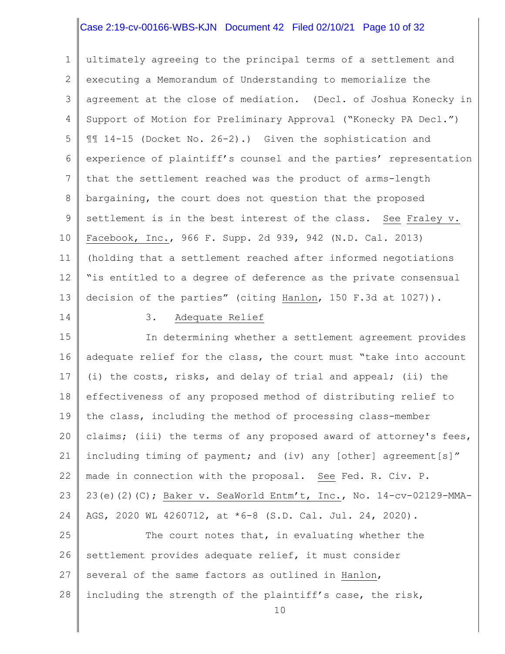### Case 2:19-cv-00166-WBS-KJN Document 42 Filed 02/10/21 Page 10 of 32

1 2 3 4 5 6 7 8 9 10 11 12 13 ultimately agreeing to the principal terms of a settlement and executing a Memorandum of Understanding to memorialize the agreement at the close of mediation. (Decl. of Joshua Konecky in Support of Motion for Preliminary Approval ("Konecky PA Decl.") ¶¶ 14-15 (Docket No. 26-2).) Given the sophistication and experience of plaintiff's counsel and the parties' representation that the settlement reached was the product of arms-length bargaining, the court does not question that the proposed settlement is in the best interest of the class. See Fraley v. Facebook, Inc., 966 F. Supp. 2d 939, 942 (N.D. Cal. 2013) (holding that a settlement reached after informed negotiations "is entitled to a degree of deference as the private consensual decision of the parties" (citing Hanlon, 150 F.3d at 1027)).

14

## 3. Adequate Relief

15 16 17 18 19 20 21 22 23 24 In determining whether a settlement agreement provides adequate relief for the class, the court must "take into account (i) the costs, risks, and delay of trial and appeal; (ii) the effectiveness of any proposed method of distributing relief to the class, including the method of processing class-member claims; (iii) the terms of any proposed award of attorney's fees, including timing of payment; and (iv) any [other] agreement[s]" made in connection with the proposal. See Fed. R. Civ. P. 23(e)(2)(C); Baker v. SeaWorld Entm't, Inc., No. 14-cv-02129-MMA-AGS, 2020 WL 4260712, at \*6-8 (S.D. Cal. Jul. 24, 2020).

25 26 27 28 The court notes that, in evaluating whether the settlement provides adequate relief, it must consider several of the same factors as outlined in Hanlon, including the strength of the plaintiff's case, the risk,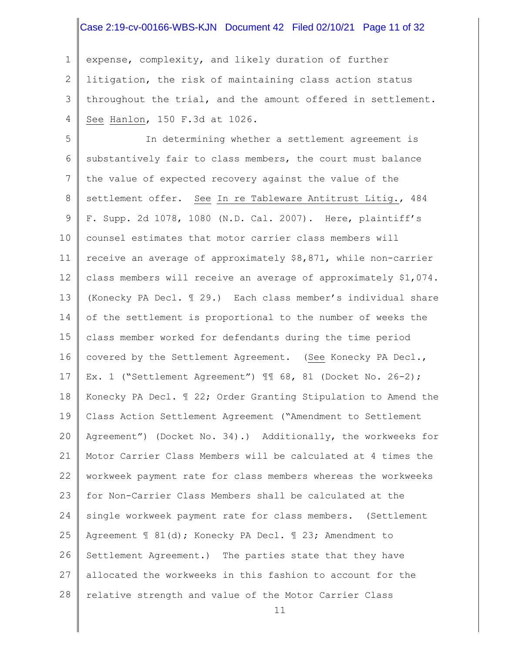#### Case 2:19-cv-00166-WBS-KJN Document 42 Filed 02/10/21 Page 11 of 32

1 2 3 4 expense, complexity, and likely duration of further litigation, the risk of maintaining class action status throughout the trial, and the amount offered in settlement. See Hanlon, 150 F.3d at 1026.

5 6 7 8 9 10 11 12 13 14 15 16 17 18 19 20 21 22 23 24 25 26 27 28 In determining whether a settlement agreement is substantively fair to class members, the court must balance the value of expected recovery against the value of the settlement offer. See In re Tableware Antitrust Litig., 484 F. Supp. 2d 1078, 1080 (N.D. Cal. 2007). Here, plaintiff's counsel estimates that motor carrier class members will receive an average of approximately \$8,871, while non-carrier class members will receive an average of approximately \$1,074. (Konecky PA Decl. ¶ 29.) Each class member's individual share of the settlement is proportional to the number of weeks the class member worked for defendants during the time period covered by the Settlement Agreement. (See Konecky PA Decl., Ex. 1 ("Settlement Agreement") ¶¶ 68, 81 (Docket No. 26-2); Konecky PA Decl. ¶ 22; Order Granting Stipulation to Amend the Class Action Settlement Agreement ("Amendment to Settlement Agreement") (Docket No. 34).) Additionally, the workweeks for Motor Carrier Class Members will be calculated at 4 times the workweek payment rate for class members whereas the workweeks for Non-Carrier Class Members shall be calculated at the single workweek payment rate for class members. (Settlement Agreement ¶ 81(d); Konecky PA Decl. ¶ 23; Amendment to Settlement Agreement.) The parties state that they have allocated the workweeks in this fashion to account for the relative strength and value of the Motor Carrier Class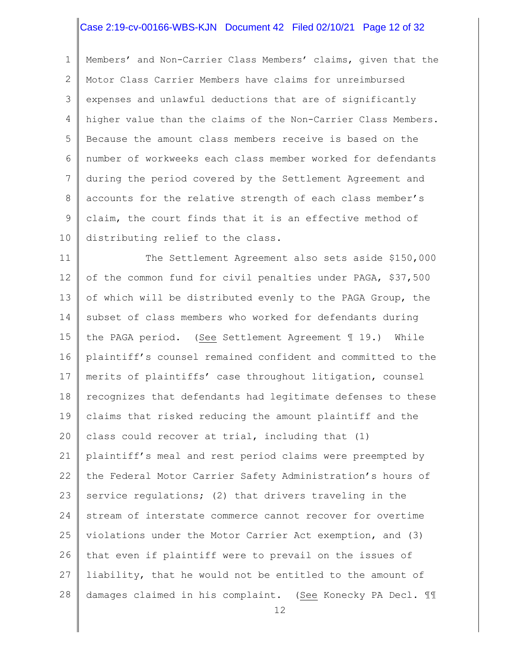#### Case 2:19-cv-00166-WBS-KJN Document 42 Filed 02/10/21 Page 12 of 32

1 2 3 4 5 6 7 8 9 10 Members' and Non-Carrier Class Members' claims, given that the Motor Class Carrier Members have claims for unreimbursed expenses and unlawful deductions that are of significantly higher value than the claims of the Non-Carrier Class Members. Because the amount class members receive is based on the number of workweeks each class member worked for defendants during the period covered by the Settlement Agreement and accounts for the relative strength of each class member's claim, the court finds that it is an effective method of distributing relief to the class.

11 12 13 14 15 16 17 18 19 20 21 22 23 24 25 26 27 28 The Settlement Agreement also sets aside \$150,000 of the common fund for civil penalties under PAGA, \$37,500 of which will be distributed evenly to the PAGA Group, the subset of class members who worked for defendants during the PAGA period. (See Settlement Agreement ¶ 19.) While plaintiff's counsel remained confident and committed to the merits of plaintiffs' case throughout litigation, counsel recognizes that defendants had legitimate defenses to these claims that risked reducing the amount plaintiff and the class could recover at trial, including that (1) plaintiff's meal and rest period claims were preempted by the Federal Motor Carrier Safety Administration's hours of service regulations; (2) that drivers traveling in the stream of interstate commerce cannot recover for overtime violations under the Motor Carrier Act exemption, and (3) that even if plaintiff were to prevail on the issues of liability, that he would not be entitled to the amount of damages claimed in his complaint. (See Konecky PA Decl. ¶¶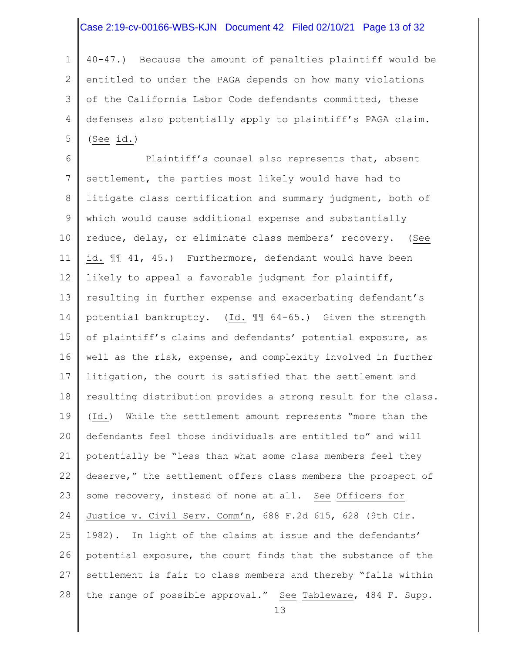#### Case 2:19-cv-00166-WBS-KJN Document 42 Filed 02/10/21 Page 13 of 32

1 2 3 4 5 40-47.) Because the amount of penalties plaintiff would be entitled to under the PAGA depends on how many violations of the California Labor Code defendants committed, these defenses also potentially apply to plaintiff's PAGA claim.  $(See id.)$ 

6 7 8 9 10 11 12 13 14 15 16 17 18 19 20 21 22 23 24 25 26 27 28 Plaintiff's counsel also represents that, absent settlement, the parties most likely would have had to litigate class certification and summary judgment, both of which would cause additional expense and substantially reduce, delay, or eliminate class members' recovery. (See id. ¶¶ 41, 45.) Furthermore, defendant would have been likely to appeal a favorable judgment for plaintiff, resulting in further expense and exacerbating defendant's potential bankruptcy. (Id. ¶¶ 64-65.) Given the strength of plaintiff's claims and defendants' potential exposure, as well as the risk, expense, and complexity involved in further litigation, the court is satisfied that the settlement and resulting distribution provides a strong result for the class. (Id.) While the settlement amount represents "more than the defendants feel those individuals are entitled to" and will potentially be "less than what some class members feel they deserve," the settlement offers class members the prospect of some recovery, instead of none at all. See Officers for Justice v. Civil Serv. Comm'n, 688 F.2d 615, 628 (9th Cir. 1982). In light of the claims at issue and the defendants' potential exposure, the court finds that the substance of the settlement is fair to class members and thereby "falls within the range of possible approval." See Tableware, 484 F. Supp.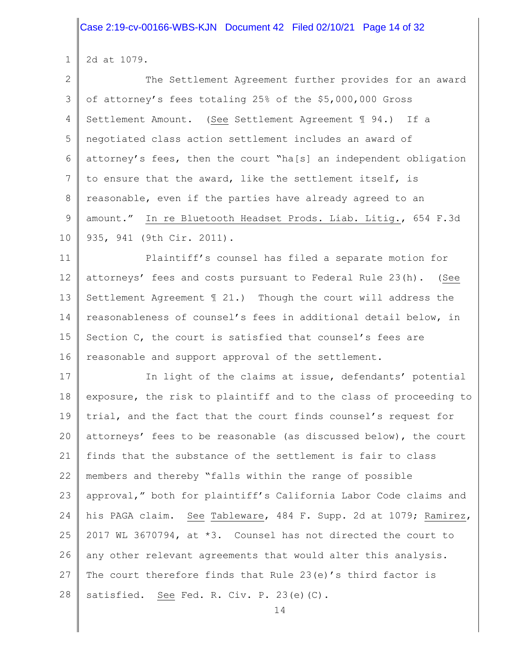1 2d at 1079.

2 3 4 5 6 7 8 9 10 The Settlement Agreement further provides for an award of attorney's fees totaling 25% of the \$5,000,000 Gross Settlement Amount. (See Settlement Agreement ¶ 94.) If a negotiated class action settlement includes an award of attorney's fees, then the court "ha[s] an independent obligation to ensure that the award, like the settlement itself, is reasonable, even if the parties have already agreed to an amount." In re Bluetooth Headset Prods. Liab. Litig., 654 F.3d 935, 941 (9th Cir. 2011).

11 12 13 14 15 16 Plaintiff's counsel has filed a separate motion for attorneys' fees and costs pursuant to Federal Rule 23(h). (See Settlement Agreement  $\mathbb{I}$  21.) Though the court will address the reasonableness of counsel's fees in additional detail below, in Section C, the court is satisfied that counsel's fees are reasonable and support approval of the settlement.

17 18 19 20 21 22 23 24 25 26 27 28 In light of the claims at issue, defendants' potential exposure, the risk to plaintiff and to the class of proceeding to trial, and the fact that the court finds counsel's request for attorneys' fees to be reasonable (as discussed below), the court finds that the substance of the settlement is fair to class members and thereby "falls within the range of possible approval," both for plaintiff's California Labor Code claims and his PAGA claim. See Tableware, 484 F. Supp. 2d at 1079; Ramirez, 2017 WL 3670794, at \*3. Counsel has not directed the court to any other relevant agreements that would alter this analysis. The court therefore finds that Rule 23(e)'s third factor is satisfied. See Fed. R. Civ. P. 23(e)(C).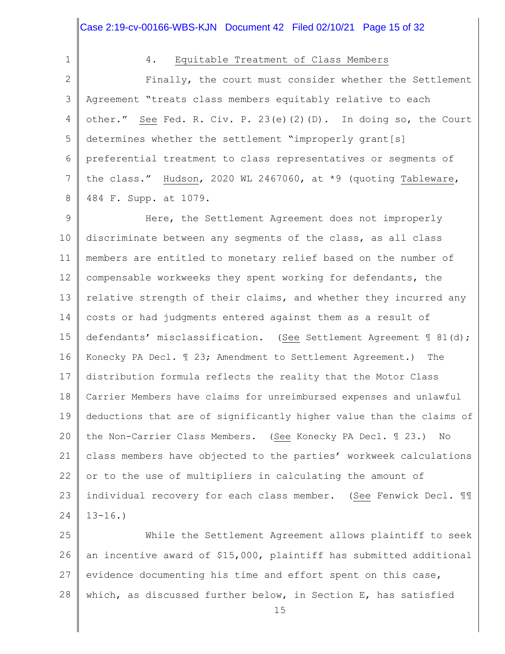|             | Case 2:19-cv-00166-WBS-KJN Document 42 Filed 02/10/21 Page 15 of 32  |
|-------------|----------------------------------------------------------------------|
| $\mathbf 1$ | 4.<br>Equitable Treatment of Class Members                           |
| 2           | Finally, the court must consider whether the Settlement              |
| 3           | Agreement "treats class members equitably relative to each           |
| 4           | other." See Fed. R. Civ. P. 23(e)(2)(D). In doing so, the Court      |
| 5           | determines whether the settlement "improperly grant[s]               |
| 6           | preferential treatment to class representatives or segments of       |
| 7           | the class." Hudson, 2020 WL 2467060, at *9 (quoting Tableware,       |
| 8           | 484 F. Supp. at 1079.                                                |
| $\mathsf 9$ | Here, the Settlement Agreement does not improperly                   |
| 10          | discriminate between any segments of the class, as all class         |
| 11          | members are entitled to monetary relief based on the number of       |
| 12          | compensable workweeks they spent working for defendants, the         |
| 13          | relative strength of their claims, and whether they incurred any     |
| 14          | costs or had judgments entered against them as a result of           |
| 15          | defendants' misclassification. (See Settlement Agreement 1 81(d);    |
| 16          | Konecky PA Decl. 1 23; Amendment to Settlement Agreement.)<br>The    |
| 17          | distribution formula reflects the reality that the Motor Class       |
| 18          | Carrier Members have claims for unreimbursed expenses and unlawful   |
| 19          | deductions that are of significantly higher value than the claims of |
| 20          | the Non-Carrier Class Members. (See Konecky PA Decl. 1 23.)<br>No    |
| 21          | class members have objected to the parties' workweek calculations    |
| 22          | or to the use of multipliers in calculating the amount of            |
| 23          | individual recovery for each class member. (See Fenwick Decl. 11     |
| 24          | $13 - 16.$                                                           |
|             |                                                                      |

25 26 27 28 While the Settlement Agreement allows plaintiff to seek an incentive award of \$15,000, plaintiff has submitted additional evidence documenting his time and effort spent on this case, which, as discussed further below, in Section E, has satisfied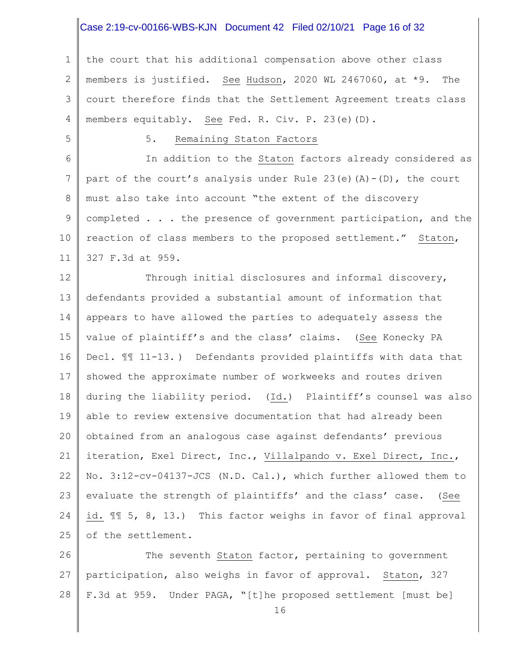### Case 2:19-cv-00166-WBS-KJN Document 42 Filed 02/10/21 Page 16 of 32

1 2 3 4 the court that his additional compensation above other class members is justified. See Hudson, 2020 WL 2467060, at \*9. The court therefore finds that the Settlement Agreement treats class members equitably. See Fed. R. Civ. P. 23(e)(D).

5

## 5. Remaining Staton Factors

6 7 8 9 10 11 In addition to the Staton factors already considered as part of the court's analysis under Rule  $23(e)$  (A)-(D), the court must also take into account "the extent of the discovery completed . . . the presence of government participation, and the reaction of class members to the proposed settlement." Staton, 327 F.3d at 959.

12 13 14 15 16 17 18 19 20 21 22 23 24 25 Through initial disclosures and informal discovery, defendants provided a substantial amount of information that appears to have allowed the parties to adequately assess the value of plaintiff's and the class' claims. (See Konecky PA Decl. ¶¶ 11-13. ) Defendants provided plaintiffs with data that showed the approximate number of workweeks and routes driven during the liability period. (Id.) Plaintiff's counsel was also able to review extensive documentation that had already been obtained from an analogous case against defendants' previous iteration, Exel Direct, Inc., Villalpando v. Exel Direct, Inc., No. 3:12-cv-04137-JCS (N.D. Cal.), which further allowed them to evaluate the strength of plaintiffs' and the class' case. (See id. ¶¶ 5, 8, 13.) This factor weighs in favor of final approval of the settlement.

26 27 28 The seventh Staton factor, pertaining to government participation, also weighs in favor of approval. Staton, 327 F.3d at 959. Under PAGA, "[t]he proposed settlement [must be]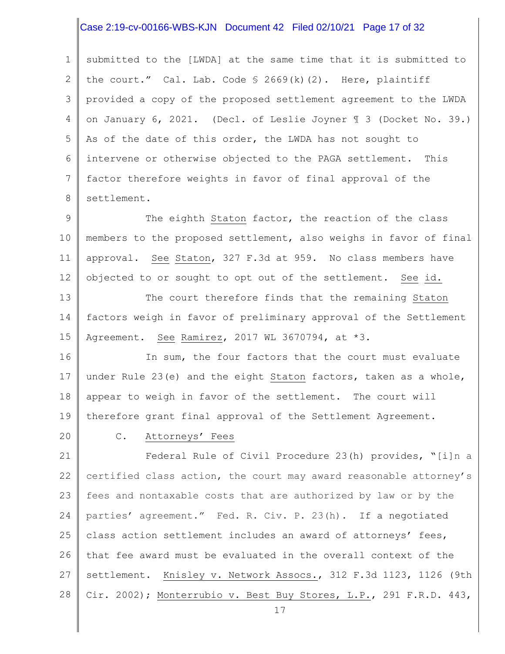## Case 2:19-cv-00166-WBS-KJN Document 42 Filed 02/10/21 Page 17 of 32

1 2 3 4 5 6 7 8 submitted to the [LWDA] at the same time that it is submitted to the court." Cal. Lab. Code  $\S$  2669(k)(2). Here, plaintiff provided a copy of the proposed settlement agreement to the LWDA on January 6, 2021. (Decl. of Leslie Joyner ¶ 3 (Docket No. 39.) As of the date of this order, the LWDA has not sought to intervene or otherwise objected to the PAGA settlement. This factor therefore weights in favor of final approval of the settlement.

9 10 11 12 The eighth Staton factor, the reaction of the class members to the proposed settlement, also weighs in favor of final approval. See Staton, 327 F.3d at 959. No class members have objected to or sought to opt out of the settlement. See id.

13 14 15 The court therefore finds that the remaining Staton factors weigh in favor of preliminary approval of the Settlement Agreement. See Ramirez, 2017 WL 3670794, at \*3.

16 17 18 19 In sum, the four factors that the court must evaluate under Rule 23(e) and the eight Staton factors, taken as a whole, appear to weigh in favor of the settlement. The court will therefore grant final approval of the Settlement Agreement.

20

#### C. Attorneys' Fees

21 22 23 24 25 26 27 28 Federal Rule of Civil Procedure 23(h) provides, "[i]n a certified class action, the court may award reasonable attorney's fees and nontaxable costs that are authorized by law or by the parties' agreement." Fed. R. Civ. P. 23(h). If a negotiated class action settlement includes an award of attorneys' fees, that fee award must be evaluated in the overall context of the settlement. Knisley v. Network Assocs., 312 F.3d 1123, 1126 (9th Cir. 2002); Monterrubio v. Best Buy Stores, L.P., 291 F.R.D. 443,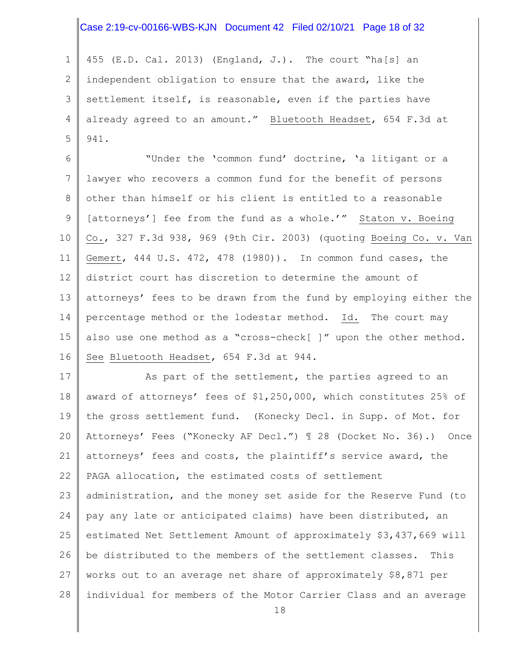### Case 2:19-cv-00166-WBS-KJN Document 42 Filed 02/10/21 Page 18 of 32

1 2 3 4 5 455 (E.D. Cal. 2013) (England, J.). The court "ha[s] an independent obligation to ensure that the award, like the settlement itself, is reasonable, even if the parties have already agreed to an amount." Bluetooth Headset, 654 F.3d at 941.

6 7 8 9 10 11 12 13 14 15 16 "Under the 'common fund' doctrine, 'a litigant or a lawyer who recovers a common fund for the benefit of persons other than himself or his client is entitled to a reasonable [attorneys'] fee from the fund as a whole.'" Staton v. Boeing Co., 327 F.3d 938, 969 (9th Cir. 2003) (quoting Boeing Co. v. Van Gemert, 444 U.S. 472, 478 (1980)). In common fund cases, the district court has discretion to determine the amount of attorneys' fees to be drawn from the fund by employing either the percentage method or the lodestar method. Id. The court may also use one method as a "cross-check[ ]" upon the other method. See Bluetooth Headset, 654 F.3d at 944.

17 18 19 20 21 22 23 24 25 26 27 28 As part of the settlement, the parties agreed to an award of attorneys' fees of \$1,250,000, which constitutes 25% of the gross settlement fund. (Konecky Decl. in Supp. of Mot. for Attorneys' Fees ("Konecky AF Decl.") ¶ 28 (Docket No. 36).) Once attorneys' fees and costs, the plaintiff's service award, the PAGA allocation, the estimated costs of settlement administration, and the money set aside for the Reserve Fund (to pay any late or anticipated claims) have been distributed, an estimated Net Settlement Amount of approximately \$3,437,669 will be distributed to the members of the settlement classes. This works out to an average net share of approximately \$8,871 per individual for members of the Motor Carrier Class and an average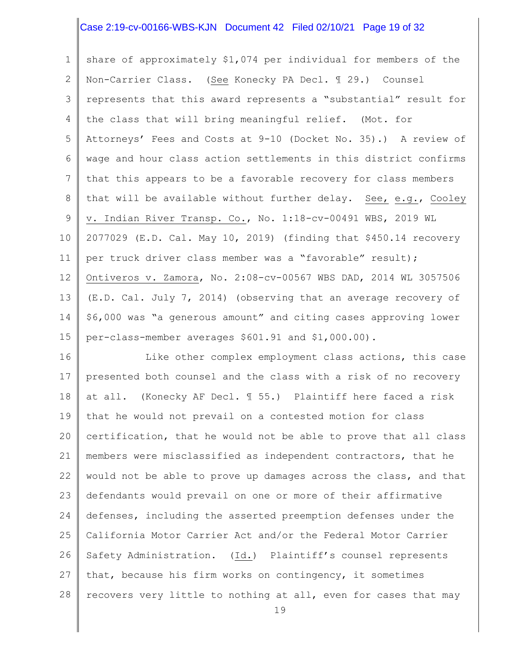### Case 2:19-cv-00166-WBS-KJN Document 42 Filed 02/10/21 Page 19 of 32

1 2 3 4 5 6 7 8 9 10 11 12 13 14 15 share of approximately \$1,074 per individual for members of the Non-Carrier Class. (See Konecky PA Decl. ¶ 29.) Counsel represents that this award represents a "substantial" result for the class that will bring meaningful relief. (Mot. for Attorneys' Fees and Costs at 9-10 (Docket No. 35).) A review of wage and hour class action settlements in this district confirms that this appears to be a favorable recovery for class members that will be available without further delay. See, e.g., Cooley v. Indian River Transp. Co., No. 1:18-cv-00491 WBS, 2019 WL 2077029 (E.D. Cal. May 10, 2019) (finding that \$450.14 recovery per truck driver class member was a "favorable" result); Ontiveros v. Zamora, No. 2:08-cv-00567 WBS DAD, 2014 WL 3057506 (E.D. Cal. July 7, 2014) (observing that an average recovery of \$6,000 was "a generous amount" and citing cases approving lower per-class-member averages \$601.91 and \$1,000.00).

16 17 18 19 20 21 22 23 24 25 26 27 28 Like other complex employment class actions, this case presented both counsel and the class with a risk of no recovery at all. (Konecky AF Decl. ¶ 55.) Plaintiff here faced a risk that he would not prevail on a contested motion for class certification, that he would not be able to prove that all class members were misclassified as independent contractors, that he would not be able to prove up damages across the class, and that defendants would prevail on one or more of their affirmative defenses, including the asserted preemption defenses under the California Motor Carrier Act and/or the Federal Motor Carrier Safety Administration. (Id.) Plaintiff's counsel represents that, because his firm works on contingency, it sometimes recovers very little to nothing at all, even for cases that may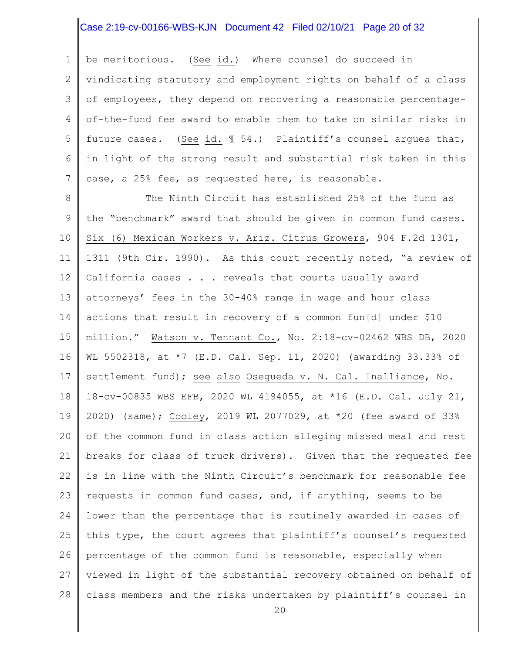#### Case 2:19-cv-00166-WBS-KJN Document 42 Filed 02/10/21 Page 20 of 32

1 2 3 4 5 6 7 be meritorious. (See id.) Where counsel do succeed in vindicating statutory and employment rights on behalf of a class of employees, they depend on recovering a reasonable percentageof-the-fund fee award to enable them to take on similar risks in future cases. (See id. ¶ 54.) Plaintiff's counsel argues that, in light of the strong result and substantial risk taken in this case, a 25% fee, as requested here, is reasonable.

8 9 10 11 12 13 14 15 16 17 18 19 20 21 22 23 24 25 26 27 28 The Ninth Circuit has established 25% of the fund as the "benchmark" award that should be given in common fund cases. Six (6) Mexican Workers v. Ariz. Citrus Growers, 904 F.2d 1301, 1311 (9th Cir. 1990). As this court recently noted, "a review of California cases . . . reveals that courts usually award attorneys' fees in the 30-40% range in wage and hour class actions that result in recovery of a common fun[d] under \$10 million." Watson v. Tennant Co., No. 2:18-cv-02462 WBS DB, 2020 WL 5502318, at \*7 (E.D. Cal. Sep. 11, 2020) (awarding 33.33% of settlement fund); see also Osegueda v. N. Cal. Inalliance, No. 18-cv-00835 WBS EFB, 2020 WL 4194055, at \*16 (E.D. Cal. July 21, 2020) (same); Cooley, 2019 WL 2077029, at \*20 (fee award of 33% of the common fund in class action alleging missed meal and rest breaks for class of truck drivers). Given that the requested fee is in line with the Ninth Circuit's benchmark for reasonable fee requests in common fund cases, and, if anything, seems to be lower than the percentage that is routinely awarded in cases of this type, the court agrees that plaintiff's counsel's requested percentage of the common fund is reasonable, especially when viewed in light of the substantial recovery obtained on behalf of class members and the risks undertaken by plaintiff's counsel in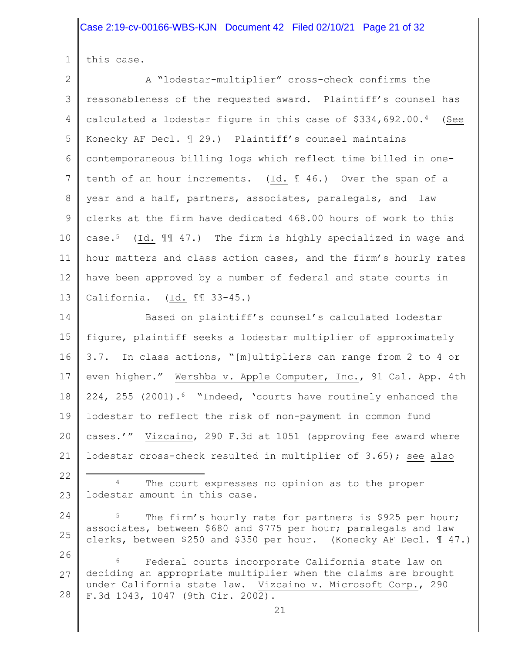# Case 2:19-cv-00166-WBS-KJN Document 42 Filed 02/10/21 Page 21 of 32

1 this case.

 $\parallel$ 

| $\overline{2}$ | A "lodestar-multiplier" cross-check confirms the                                                                                                            |
|----------------|-------------------------------------------------------------------------------------------------------------------------------------------------------------|
| 3              | reasonableness of the requested award. Plaintiff's counsel has                                                                                              |
| 4              | calculated a lodestar figure in this case of \$334,692.00.4<br>(See                                                                                         |
| 5              | Konecky AF Decl. 129.) Plaintiff's counsel maintains                                                                                                        |
| 6              | contemporaneous billing logs which reflect time billed in one-                                                                                              |
| $\overline{7}$ | tenth of an hour increments. (Id. $\text{\ensuremath{\mathfrak{A}}}$ 46.) Over the span of a                                                                |
| 8              | year and a half, partners, associates, paralegals, and law                                                                                                  |
| 9              | clerks at the firm have dedicated 468.00 hours of work to this                                                                                              |
| 10             | case. <sup>5</sup> (Id. $\mathbb{I}$ 47.) The firm is highly specialized in wage and                                                                        |
| 11             | hour matters and class action cases, and the firm's hourly rates                                                                                            |
| 12             | have been approved by a number of federal and state courts in                                                                                               |
| 13             | California. $(Id. \mathbb{I} \mathbb{I} \mathbb{3}-45.)$                                                                                                    |
| 14             | Based on plaintiff's counsel's calculated lodestar                                                                                                          |
| 15             | figure, plaintiff seeks a lodestar multiplier of approximately                                                                                              |
| 16             | 3.7. In class actions, "[m]ultipliers can range from 2 to 4 or                                                                                              |
| 17             | even higher." Wershba v. Apple Computer, Inc., 91 Cal. App. 4th                                                                                             |
| 18             | 224, 255 (2001). <sup>6</sup> "Indeed, 'courts have routinely enhanced the                                                                                  |
| 19             | lodestar to reflect the risk of non-payment in common fund                                                                                                  |
| 20             | cases.'" Vizcaino, 290 F.3d at 1051 (approving fee award where                                                                                              |
| 21             | lodestar cross-check resulted in multiplier of 3.65); see also                                                                                              |
| 22             | The court expresses no opinion as to the proper                                                                                                             |
| 23             | lodestar amount in this case.                                                                                                                               |
| 24             | 5<br>The firm's hourly rate for partners is \$925 per hour;                                                                                                 |
| 25             | associates, between \$680 and \$775 per hour; paralegals and law<br>clerks, between \$250 and \$350 per hour. (Konecky AF Decl. $\text{\textsterling}$ 47.) |
| 26             | 6<br>Federal courts incorporate California state law on                                                                                                     |
| 27             | deciding an appropriate multiplier when the claims are brought<br>under California state law. Vizcaino v. Microsoft Corp., 290                              |
| 28             | F.3d 1043, 1047 (9th Cir. 2002).                                                                                                                            |
|                | 21                                                                                                                                                          |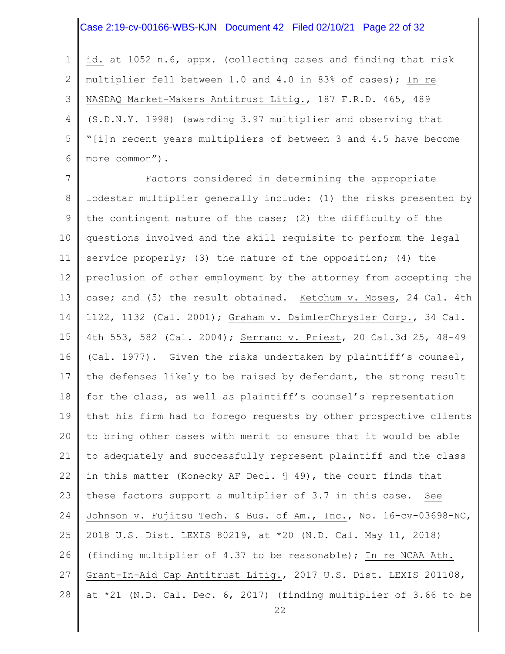#### Case 2:19-cv-00166-WBS-KJN Document 42 Filed 02/10/21 Page 22 of 32

1 2 3 4 5 6 id. at 1052 n.6, appx. (collecting cases and finding that risk multiplier fell between 1.0 and 4.0 in 83% of cases); In re NASDAQ Market-Makers Antitrust Litig., 187 F.R.D. 465, 489 (S.D.N.Y. 1998) (awarding 3.97 multiplier and observing that "[i]n recent years multipliers of between 3 and 4.5 have become more common").

7 8 9 10 11 12 13 14 15 16 17 18 19 20 21 22 23 24 25 26 27 28 Factors considered in determining the appropriate lodestar multiplier generally include: (1) the risks presented by the contingent nature of the case; (2) the difficulty of the questions involved and the skill requisite to perform the legal service properly; (3) the nature of the opposition; (4) the preclusion of other employment by the attorney from accepting the case; and (5) the result obtained. Ketchum v. Moses, 24 Cal. 4th 1122, 1132 (Cal. 2001); Graham v. DaimlerChrysler Corp., 34 Cal. 4th 553, 582 (Cal. 2004); Serrano v. Priest, 20 Cal.3d 25, 48-49 (Cal. 1977). Given the risks undertaken by plaintiff's counsel, the defenses likely to be raised by defendant, the strong result for the class, as well as plaintiff's counsel's representation that his firm had to forego requests by other prospective clients to bring other cases with merit to ensure that it would be able to adequately and successfully represent plaintiff and the class in this matter (Konecky AF Decl. ¶ 49), the court finds that these factors support a multiplier of 3.7 in this case. See Johnson v. Fujitsu Tech. & Bus. of Am., Inc., No. 16-cv-03698-NC, 2018 U.S. Dist. LEXIS 80219, at \*20 (N.D. Cal. May 11, 2018) (finding multiplier of 4.37 to be reasonable); In re NCAA Ath. Grant-In-Aid Cap Antitrust Litig., 2017 U.S. Dist. LEXIS 201108, at \*21 (N.D. Cal. Dec. 6, 2017) (finding multiplier of 3.66 to be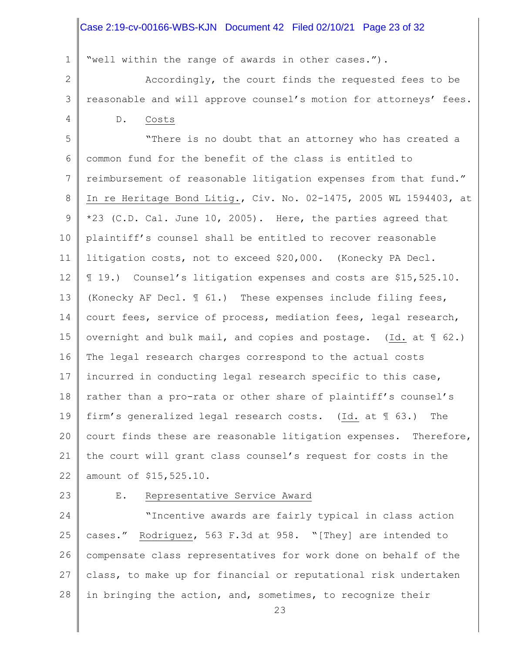#### Case 2:19-cv-00166-WBS-KJN Document 42 Filed 02/10/21 Page 23 of 32

"well within the range of awards in other cases.").

2 3 4 Accordingly, the court finds the requested fees to be reasonable and will approve counsel's motion for attorneys' fees. D. Costs

5 6 7 8 9 10 11 12 13 14 15 16 17 18 19 20 21 22 "There is no doubt that an attorney who has created a common fund for the benefit of the class is entitled to reimbursement of reasonable litigation expenses from that fund." In re Heritage Bond Litig., Civ. No. 02-1475, 2005 WL 1594403, at \*23 (C.D. Cal. June 10, 2005). Here, the parties agreed that plaintiff's counsel shall be entitled to recover reasonable litigation costs, not to exceed \$20,000. (Konecky PA Decl. ¶ 19.) Counsel's litigation expenses and costs are \$15,525.10. (Konecky AF Decl. ¶ 61.) These expenses include filing fees, court fees, service of process, mediation fees, legal research, overnight and bulk mail, and copies and postage. (Id. at ¶ 62.) The legal research charges correspond to the actual costs incurred in conducting legal research specific to this case, rather than a pro-rata or other share of plaintiff's counsel's firm's generalized legal research costs. (Id. at ¶ 63.) The court finds these are reasonable litigation expenses. Therefore, the court will grant class counsel's request for costs in the amount of \$15,525.10.

23

1

#### E. Representative Service Award

24 25 26 27 28 "Incentive awards are fairly typical in class action cases." Rodriguez, 563 F.3d at 958. "[They] are intended to compensate class representatives for work done on behalf of the class, to make up for financial or reputational risk undertaken in bringing the action, and, sometimes, to recognize their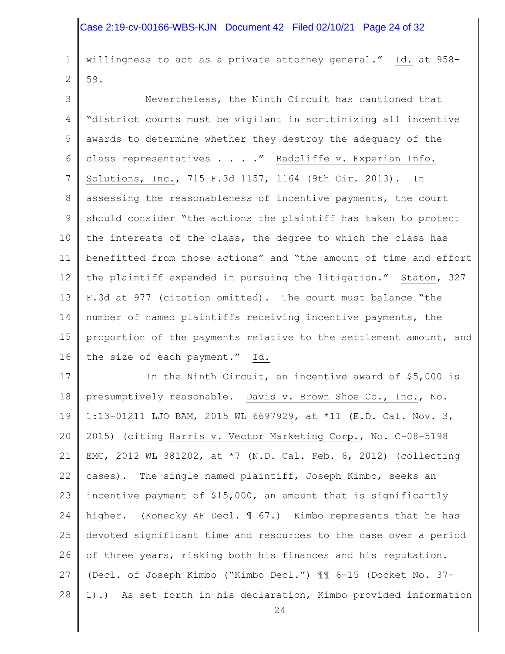#### Case 2:19-cv-00166-WBS-KJN Document 42 Filed 02/10/21 Page 24 of 32

1 2 willingness to act as a private attorney general." Id. at 958- 59.

3 4 5 6 7 8 9 10 11 12 13 14 15 16 Nevertheless, the Ninth Circuit has cautioned that "district courts must be vigilant in scrutinizing all incentive awards to determine whether they destroy the adequacy of the class representatives . . . ." Radcliffe v. Experian Info. Solutions, Inc., 715 F.3d 1157, 1164 (9th Cir. 2013). In assessing the reasonableness of incentive payments, the court should consider "the actions the plaintiff has taken to protect the interests of the class, the degree to which the class has benefitted from those actions" and "the amount of time and effort the plaintiff expended in pursuing the litigation." Staton, 327 F.3d at 977 (citation omitted). The court must balance "the number of named plaintiffs receiving incentive payments, the proportion of the payments relative to the settlement amount, and the size of each payment." Id.

17 18 19 20 21 22 23 24 25 26 27 28 In the Ninth Circuit, an incentive award of \$5,000 is presumptively reasonable. Davis v. Brown Shoe Co., Inc., No. 1:13-01211 LJO BAM, 2015 WL 6697929, at \*11 (E.D. Cal. Nov. 3, 2015) (citing Harris v. Vector Marketing Corp., No. C-08-5198 EMC, 2012 WL 381202, at \*7 (N.D. Cal. Feb. 6, 2012) (collecting cases). The single named plaintiff, Joseph Kimbo, seeks an incentive payment of \$15,000, an amount that is significantly higher. (Konecky AF Decl. ¶ 67.) Kimbo represents that he has devoted significant time and resources to the case over a period of three years, risking both his finances and his reputation. (Decl. of Joseph Kimbo ("Kimbo Decl.") ¶¶ 6-15 (Docket No. 37- 1).) As set forth in his declaration, Kimbo provided information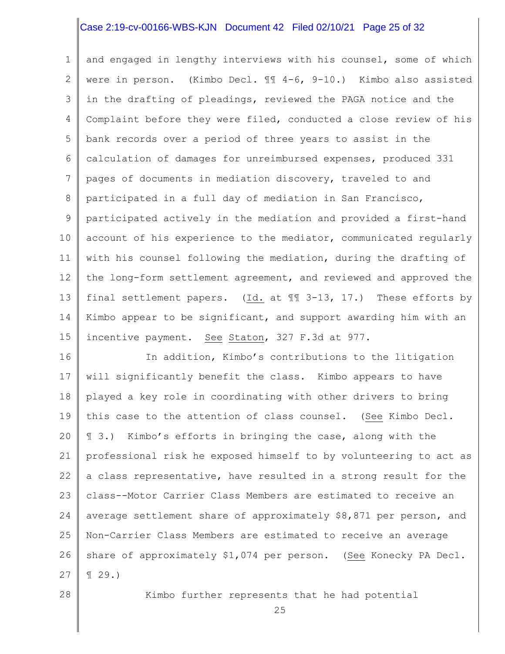#### Case 2:19-cv-00166-WBS-KJN Document 42 Filed 02/10/21 Page 25 of 32

1 2 3 4 5 6 7 8 9 10 11 12 13 14 15 and engaged in lengthy interviews with his counsel, some of which were in person. (Kimbo Decl. ¶¶ 4-6, 9-10.) Kimbo also assisted in the drafting of pleadings, reviewed the PAGA notice and the Complaint before they were filed, conducted a close review of his bank records over a period of three years to assist in the calculation of damages for unreimbursed expenses, produced 331 pages of documents in mediation discovery, traveled to and participated in a full day of mediation in San Francisco, participated actively in the mediation and provided a first-hand account of his experience to the mediator, communicated regularly with his counsel following the mediation, during the drafting of the long-form settlement agreement, and reviewed and approved the final settlement papers. (Id. at ¶¶ 3-13, 17.) These efforts by Kimbo appear to be significant, and support awarding him with an incentive payment. See Staton, 327 F.3d at 977.

16 17 18 19 20 21 22 23 24 25 26 27 In addition, Kimbo's contributions to the litigation will significantly benefit the class. Kimbo appears to have played a key role in coordinating with other drivers to bring this case to the attention of class counsel. (See Kimbo Decl. ¶ 3.) Kimbo's efforts in bringing the case, along with the professional risk he exposed himself to by volunteering to act as a class representative, have resulted in a strong result for the class--Motor Carrier Class Members are estimated to receive an average settlement share of approximately \$8,871 per person, and Non-Carrier Class Members are estimated to receive an average share of approximately \$1,074 per person. (See Konecky PA Decl. ¶ 29.)

28

Kimbo further represents that he had potential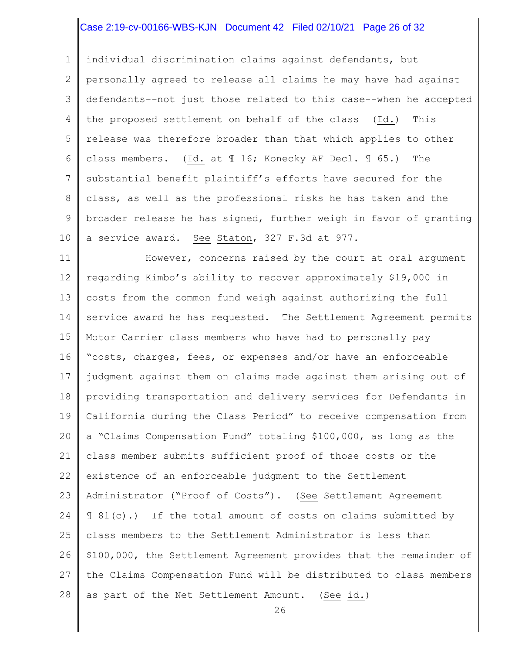## Case 2:19-cv-00166-WBS-KJN Document 42 Filed 02/10/21 Page 26 of 32

1 2 3 4 5 6 7 8 9 10 individual discrimination claims against defendants, but personally agreed to release all claims he may have had against defendants--not just those related to this case--when he accepted the proposed settlement on behalf of the class (Id.) This release was therefore broader than that which applies to other class members. (Id. at ¶ 16; Konecky AF Decl. ¶ 65.) The substantial benefit plaintiff's efforts have secured for the class, as well as the professional risks he has taken and the broader release he has signed, further weigh in favor of granting a service award. See Staton, 327 F.3d at 977.

11 12 13 14 15 16 17 18 19 20 21 22 23 24 25 26 27 28 However, concerns raised by the court at oral argument regarding Kimbo's ability to recover approximately \$19,000 in costs from the common fund weigh against authorizing the full service award he has requested. The Settlement Agreement permits Motor Carrier class members who have had to personally pay "costs, charges, fees, or expenses and/or have an enforceable judgment against them on claims made against them arising out of providing transportation and delivery services for Defendants in California during the Class Period" to receive compensation from a "Claims Compensation Fund" totaling \$100,000, as long as the class member submits sufficient proof of those costs or the existence of an enforceable judgment to the Settlement Administrator ("Proof of Costs"). (See Settlement Agreement ¶ 81(c).) If the total amount of costs on claims submitted by class members to the Settlement Administrator is less than \$100,000, the Settlement Agreement provides that the remainder of the Claims Compensation Fund will be distributed to class members as part of the Net Settlement Amount. (See id.)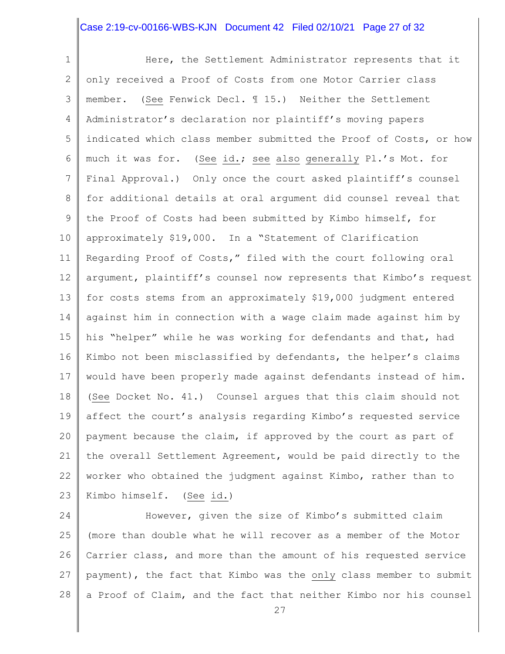#### Case 2:19-cv-00166-WBS-KJN Document 42 Filed 02/10/21 Page 27 of 32

1 2 3 4 5 6 7 8 9 10 11 12 13 14 15 16 17 18 19 20 21 22 23 Here, the Settlement Administrator represents that it only received a Proof of Costs from one Motor Carrier class member. (See Fenwick Decl. ¶ 15.) Neither the Settlement Administrator's declaration nor plaintiff's moving papers indicated which class member submitted the Proof of Costs, or how much it was for. (See id.; see also generally Pl.'s Mot. for Final Approval.) Only once the court asked plaintiff's counsel for additional details at oral argument did counsel reveal that the Proof of Costs had been submitted by Kimbo himself, for approximately \$19,000. In a "Statement of Clarification Regarding Proof of Costs," filed with the court following oral argument, plaintiff's counsel now represents that Kimbo's request for costs stems from an approximately \$19,000 judgment entered against him in connection with a wage claim made against him by his "helper" while he was working for defendants and that, had Kimbo not been misclassified by defendants, the helper's claims would have been properly made against defendants instead of him. (See Docket No. 41.) Counsel argues that this claim should not affect the court's analysis regarding Kimbo's requested service payment because the claim, if approved by the court as part of the overall Settlement Agreement, would be paid directly to the worker who obtained the judgment against Kimbo, rather than to Kimbo himself. (See id.)

24 25 26 27 28 However, given the size of Kimbo's submitted claim (more than double what he will recover as a member of the Motor Carrier class, and more than the amount of his requested service payment), the fact that Kimbo was the only class member to submit a Proof of Claim, and the fact that neither Kimbo nor his counsel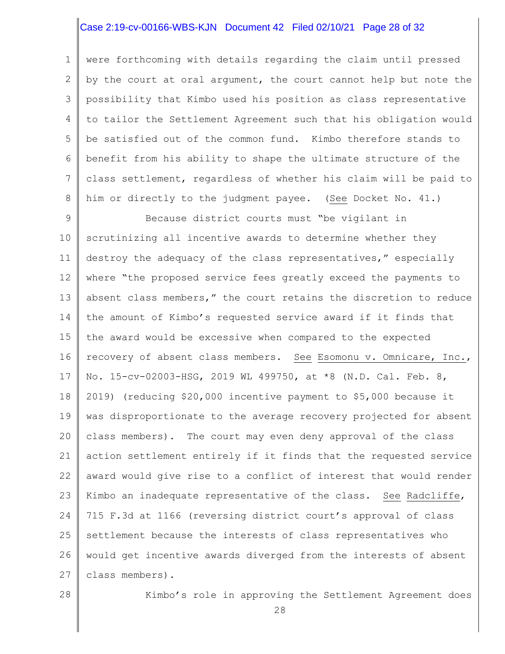### Case 2:19-cv-00166-WBS-KJN Document 42 Filed 02/10/21 Page 28 of 32

1 2 3 4 5 6 7 8 were forthcoming with details regarding the claim until pressed by the court at oral argument, the court cannot help but note the possibility that Kimbo used his position as class representative to tailor the Settlement Agreement such that his obligation would be satisfied out of the common fund. Kimbo therefore stands to benefit from his ability to shape the ultimate structure of the class settlement, regardless of whether his claim will be paid to him or directly to the judgment payee. (See Docket No. 41.)

9 10 11 12 13 14 15 16 17 18 19 20 21 22 23 24 25 26 27 Because district courts must "be vigilant in scrutinizing all incentive awards to determine whether they destroy the adequacy of the class representatives," especially where "the proposed service fees greatly exceed the payments to absent class members," the court retains the discretion to reduce the amount of Kimbo's requested service award if it finds that the award would be excessive when compared to the expected recovery of absent class members. See Esomonu v. Omnicare, Inc., No. 15-cv-02003-HSG, 2019 WL 499750, at \*8 (N.D. Cal. Feb. 8, 2019) (reducing \$20,000 incentive payment to \$5,000 because it was disproportionate to the average recovery projected for absent class members). The court may even deny approval of the class action settlement entirely if it finds that the requested service award would give rise to a conflict of interest that would render Kimbo an inadequate representative of the class. See Radcliffe, 715 F.3d at 1166 (reversing district court's approval of class settlement because the interests of class representatives who would get incentive awards diverged from the interests of absent class members).

28

Kimbo's role in approving the Settlement Agreement does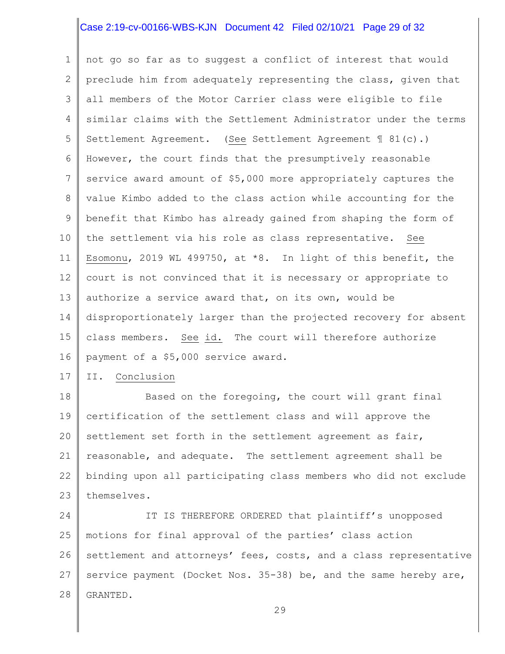## Case 2:19-cv-00166-WBS-KJN Document 42 Filed 02/10/21 Page 29 of 32

1 2 3 4 5 6 7 8 9 10 11 12 13 14 15 16 not go so far as to suggest a conflict of interest that would preclude him from adequately representing the class, given that all members of the Motor Carrier class were eligible to file similar claims with the Settlement Administrator under the terms Settlement Agreement. (See Settlement Agreement ¶ 81(c).) However, the court finds that the presumptively reasonable service award amount of \$5,000 more appropriately captures the value Kimbo added to the class action while accounting for the benefit that Kimbo has already gained from shaping the form of the settlement via his role as class representative. See Esomonu, 2019 WL 499750, at \*8. In light of this benefit, the court is not convinced that it is necessary or appropriate to authorize a service award that, on its own, would be disproportionately larger than the projected recovery for absent class members. See id. The court will therefore authorize payment of a \$5,000 service award.

17 II. Conclusion

18 19 20 21 22 23 Based on the foregoing, the court will grant final certification of the settlement class and will approve the settlement set forth in the settlement agreement as fair, reasonable, and adequate. The settlement agreement shall be binding upon all participating class members who did not exclude themselves.

24 25 26 27 28 IT IS THEREFORE ORDERED that plaintiff's unopposed motions for final approval of the parties' class action settlement and attorneys' fees, costs, and a class representative service payment (Docket Nos. 35-38) be, and the same hereby are, GRANTED.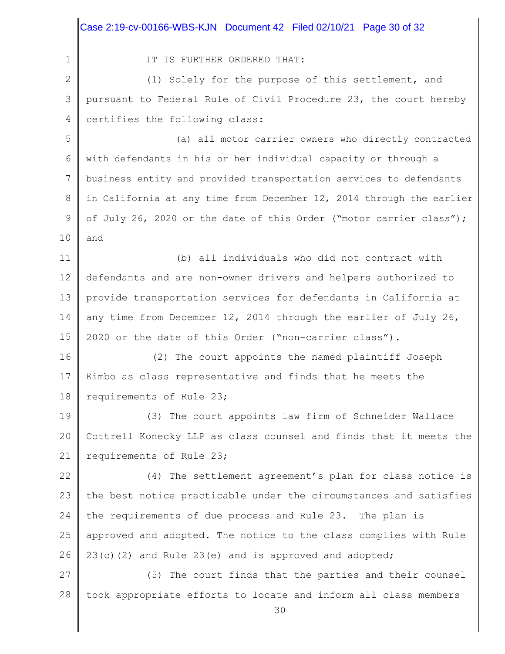|              | Case 2:19-cv-00166-WBS-KJN  Document 42  Filed 02/10/21  Page 30 of 32 |
|--------------|------------------------------------------------------------------------|
| $\mathbf 1$  | IT IS FURTHER ORDERED THAT:                                            |
| $\mathbf{2}$ | (1) Solely for the purpose of this settlement, and                     |
| 3            | pursuant to Federal Rule of Civil Procedure 23, the court hereby       |
| 4            | certifies the following class:                                         |
| 5            | (a) all motor carrier owners who directly contracted                   |
| 6            | with defendants in his or her individual capacity or through a         |
| 7            | business entity and provided transportation services to defendants     |
| 8            | in California at any time from December 12, 2014 through the earlier   |
| 9            | of July 26, 2020 or the date of this Order ("motor carrier class");    |
| 10           | and                                                                    |
| 11           | (b) all individuals who did not contract with                          |
| 12           | defendants and are non-owner drivers and helpers authorized to         |
| 13           | provide transportation services for defendants in California at        |
| 14           | any time from December 12, 2014 through the earlier of July 26,        |
| 15           | 2020 or the date of this Order ("non-carrier class").                  |
| 16           | (2) The court appoints the named plaintiff Joseph                      |
| 17           | Kimbo as class representative and finds that he meets the              |
| 18           | requirements of Rule 23;                                               |
| 19           | (3) The court appoints law firm of Schneider Wallace                   |
| 20           | Cottrell Konecky LLP as class counsel and finds that it meets the      |
| 21           | requirements of Rule 23;                                               |
| 22           | (4) The settlement agreement's plan for class notice is                |
| 23           | the best notice practicable under the circumstances and satisfies      |
| 24           | the requirements of due process and Rule 23. The plan is               |
| 25           | approved and adopted. The notice to the class complies with Rule       |
| 26           | 23(c)(2) and Rule 23(e) and is approved and adopted;                   |
| 27           | (5) The court finds that the parties and their counsel                 |
| 28           | took appropriate efforts to locate and inform all class members<br>30  |

Π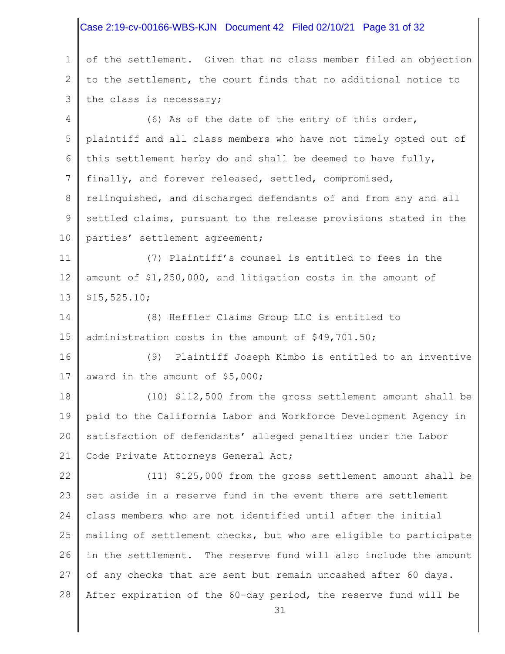#### 1 2 3 4 5 6 7 8 9 10 11 12 13 14 15 16 17 18 19 20 21 22 23 24 25 26 27 28 31 of the settlement. Given that no class member filed an objection to the settlement, the court finds that no additional notice to the class is necessary; (6) As of the date of the entry of this order, plaintiff and all class members who have not timely opted out of this settlement herby do and shall be deemed to have fully, finally, and forever released, settled, compromised, relinquished, and discharged defendants of and from any and all settled claims, pursuant to the release provisions stated in the parties' settlement agreement; (7) Plaintiff's counsel is entitled to fees in the amount of \$1,250,000, and litigation costs in the amount of \$15,525.10; (8) Heffler Claims Group LLC is entitled to administration costs in the amount of \$49,701.50; (9) Plaintiff Joseph Kimbo is entitled to an inventive award in the amount of \$5,000; (10) \$112,500 from the gross settlement amount shall be paid to the California Labor and Workforce Development Agency in satisfaction of defendants' alleged penalties under the Labor Code Private Attorneys General Act; (11) \$125,000 from the gross settlement amount shall be set aside in a reserve fund in the event there are settlement class members who are not identified until after the initial mailing of settlement checks, but who are eligible to participate in the settlement. The reserve fund will also include the amount of any checks that are sent but remain uncashed after 60 days. After expiration of the 60-day period, the reserve fund will be Case 2:19-cv-00166-WBS-KJN Document 42 Filed 02/10/21 Page 31 of 32